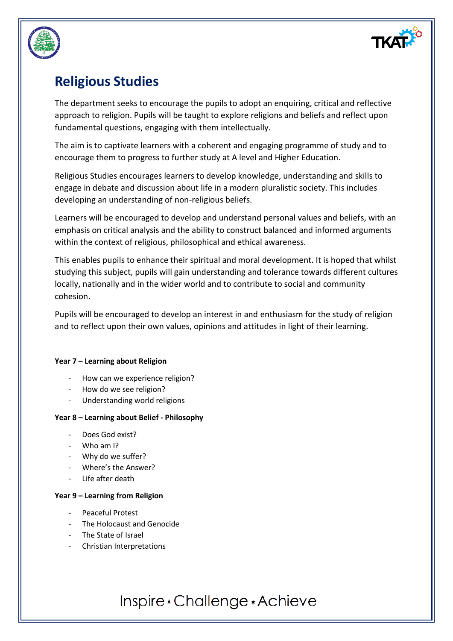

## **Religious Studies**

The department seeks to encourage the pupils to adopt an enquiring, critical and reflective approach to religion. Pupils will be taught to explore religions and beliefs and reflect upon fundamental questions, engaging with them intellectually.

The aim is to captivate learners with a coherent and engaging programme of study and to encourage them to progress to further study at A level and Higher Education.

Religious Studies encourages learners to develop knowledge, understanding and skills to engage in debate and discussion about life in a modern pluralistic society. This includes developing an understanding of non-religious beliefs.

Learners will be encouraged to develop and understand personal values and beliefs, with an emphasis on critical analysis and the ability to construct balanced and informed arguments within the context of religious, philosophical and ethical awareness.

This enables pupils to enhance their spiritual and moral development. It is hoped that whilst studying this subject, pupils will gain understanding and tolerance towards different cultures locally, nationally and in the wider world and to contribute to social and community cohesion.

Pupils will be encouraged to develop an interest in and enthusiasm for the study of religion and to reflect upon their own values, opinions and attitudes in light of their learning.

### **Year 7 – Learning about Religion**

- How can we experience religion?
- How do we see religion?
- Understanding world religions

### **Year 8 – Learning about Belief - Philosophy**

- Does God exist?
- Who am I?
- Why do we suffer?
- Where's the Answer?
- Life after death

### **Year 9 – Learning from Religion**

- Peaceful Protest
- The Holocaust and Genocide
- The State of Israel
- Christian Interpretations

# Inspire \* Challenge \* Achieve